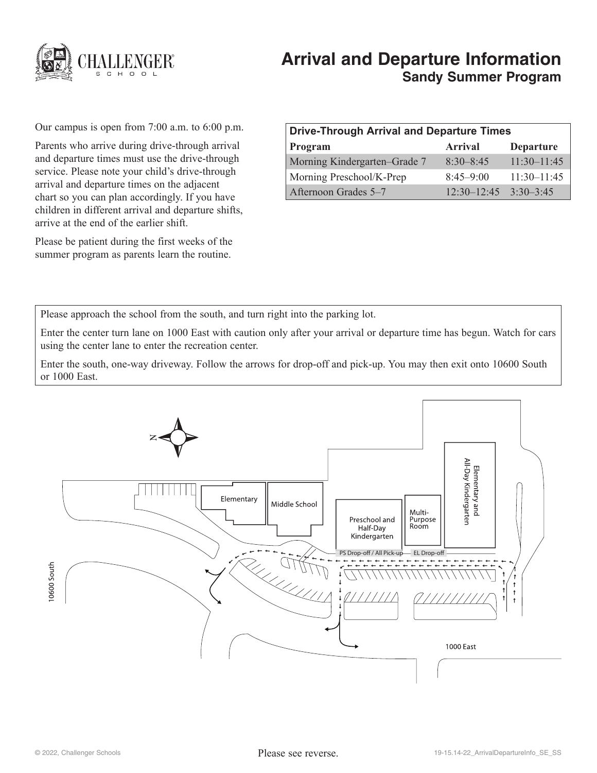

# **Arrival and Departure Information Sandy Summer Program**

Our campus is open from 7:00 a.m. to 6:00 p.m.

Parents who arrive during drive-through arrival and departure times must use the drive-through service. Please note your child's drive-through arrival and departure times on the adjacent chart so you can plan accordingly. If you have children in different arrival and departure shifts, arrive at the end of the earlier shift.

Please be patient during the first weeks of the summer program as parents learn the routine.

| <b>Drive-Through Arrival and Departure Times</b> |                 |                  |
|--------------------------------------------------|-----------------|------------------|
| Program                                          | <b>Arrival</b>  | <b>Departure</b> |
| Morning Kindergarten–Grade 7                     | $8:30 - 8:45$   | $11:30-11:45$    |
| Morning Preschool/K-Prep                         | $8:45-9:00$     | $11:30 - 11:45$  |
| Afternoon Grades 5–7                             | $12:30 - 12:45$ | $3.30 - 3.45$    |

Please approach the school from the south, and turn right into the parking lot.

Enter the center turn lane on 1000 East with caution only after your arrival or departure time has begun. Watch for cars using the center lane to enter the recreation center.

Enter the south, one-way driveway. Follow the arrows for drop-off and pick-up. You may then exit onto 10600 South or 1000 East.